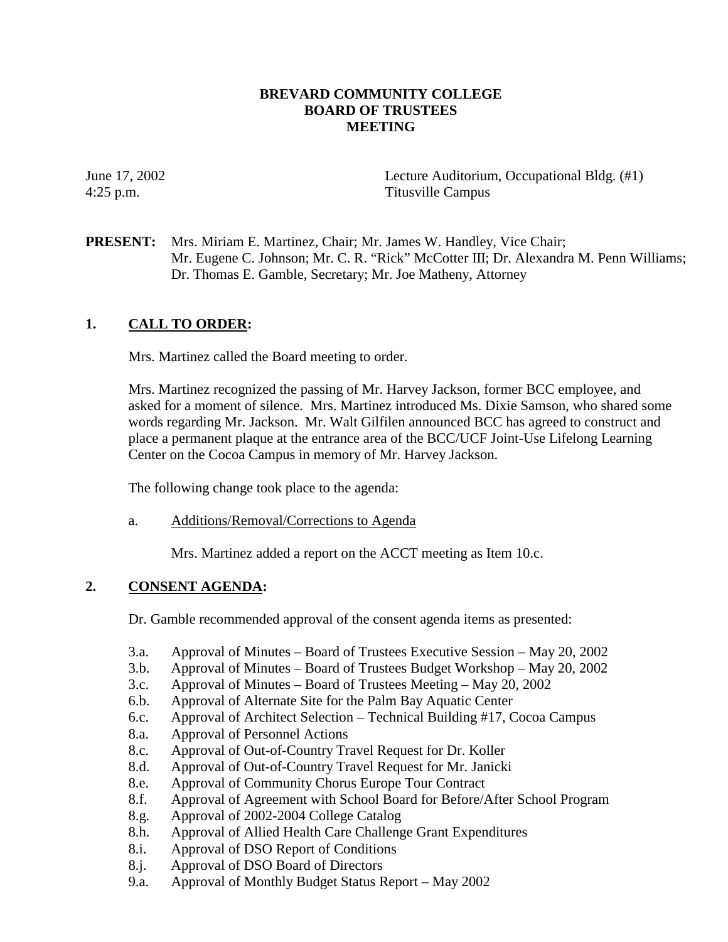# **BREVARD COMMUNITY COLLEGE BOARD OF TRUSTEES MEETING**

June 17, 2002 Lecture Auditorium, Occupational Bldg. (#1) 4:25 p.m. Titusville Campus

**PRESENT:** Mrs. Miriam E. Martinez, Chair; Mr. James W. Handley, Vice Chair; Mr. Eugene C. Johnson; Mr. C. R. "Rick" McCotter III; Dr. Alexandra M. Penn Williams; Dr. Thomas E. Gamble, Secretary; Mr. Joe Matheny, Attorney

# **1. CALL TO ORDER:**

Mrs. Martinez called the Board meeting to order.

Mrs. Martinez recognized the passing of Mr. Harvey Jackson, former BCC employee, and asked for a moment of silence. Mrs. Martinez introduced Ms. Dixie Samson, who shared some words regarding Mr. Jackson. Mr. Walt Gilfilen announced BCC has agreed to construct and place a permanent plaque at the entrance area of the BCC/UCF Joint-Use Lifelong Learning Center on the Cocoa Campus in memory of Mr. Harvey Jackson.

The following change took place to the agenda:

a. Additions/Removal/Corrections to Agenda

Mrs. Martinez added a report on the ACCT meeting as Item 10.c.

# **2. CONSENT AGENDA:**

Dr. Gamble recommended approval of the consent agenda items as presented:

- 3.a. Approval of Minutes Board of Trustees Executive Session May 20, 2002
- 3.b. Approval of Minutes Board of Trustees Budget Workshop May 20, 2002
- 3.c. Approval of Minutes Board of Trustees Meeting May 20, 2002
- 6.b. Approval of Alternate Site for the Palm Bay Aquatic Center
- 6.c. Approval of Architect Selection Technical Building #17, Cocoa Campus
- 8.a. Approval of Personnel Actions
- 8.c. Approval of Out-of-Country Travel Request for Dr. Koller
- 8.d. Approval of Out-of-Country Travel Request for Mr. Janicki
- 8.e. Approval of Community Chorus Europe Tour Contract
- 8.f. Approval of Agreement with School Board for Before/After School Program
- 8.g. Approval of 2002-2004 College Catalog
- 8.h. Approval of Allied Health Care Challenge Grant Expenditures
- 8.i. Approval of DSO Report of Conditions
- 8.j. Approval of DSO Board of Directors
- 9.a. Approval of Monthly Budget Status Report May 2002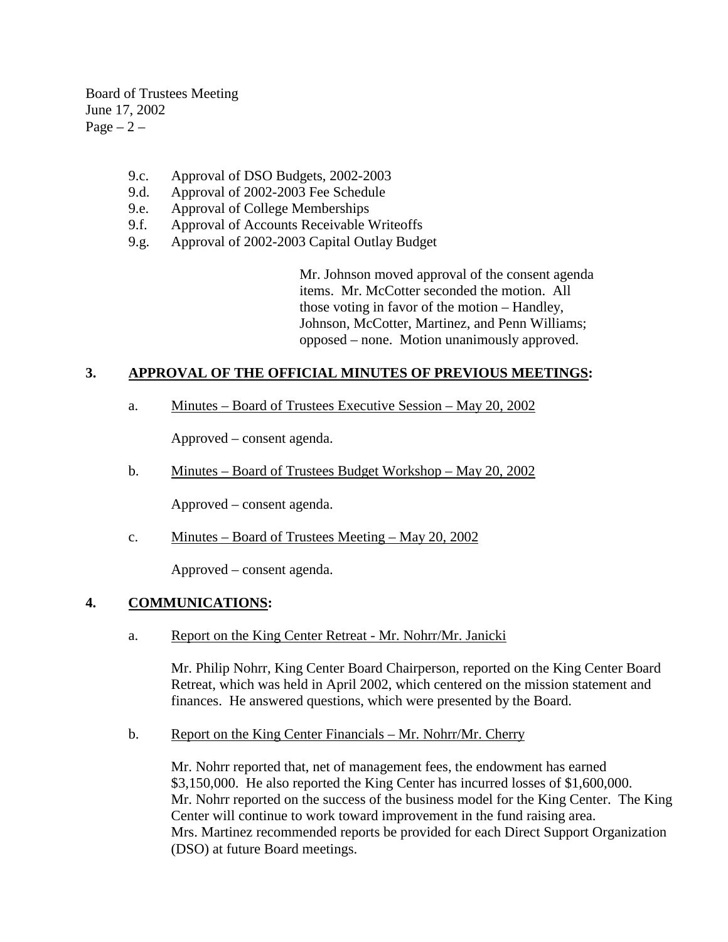Board of Trustees Meeting June 17, 2002  $Page - 2 -$ 

- 9.c. Approval of DSO Budgets, 2002-2003
- 9.d. Approval of 2002-2003 Fee Schedule
- 9.e. Approval of College Memberships
- 9.f. Approval of Accounts Receivable Writeoffs
- 9.g. Approval of 2002-2003 Capital Outlay Budget

Mr. Johnson moved approval of the consent agenda items. Mr. McCotter seconded the motion. All those voting in favor of the motion – Handley, Johnson, McCotter, Martinez, and Penn Williams; opposed – none. Motion unanimously approved.

# **3. APPROVAL OF THE OFFICIAL MINUTES OF PREVIOUS MEETINGS:**

a. Minutes – Board of Trustees Executive Session – May 20, 2002

Approved – consent agenda.

b. Minutes – Board of Trustees Budget Workshop – May 20, 2002

Approved – consent agenda.

c. Minutes – Board of Trustees Meeting – May 20, 2002

Approved – consent agenda.

# **4. COMMUNICATIONS:**

a. Report on the King Center Retreat - Mr. Nohrr/Mr. Janicki

Mr. Philip Nohrr, King Center Board Chairperson, reported on the King Center Board Retreat, which was held in April 2002, which centered on the mission statement and finances. He answered questions, which were presented by the Board.

b. Report on the King Center Financials – Mr. Nohrr/Mr. Cherry

Mr. Nohrr reported that, net of management fees, the endowment has earned \$3,150,000. He also reported the King Center has incurred losses of \$1,600,000. Mr. Nohrr reported on the success of the business model for the King Center. The King Center will continue to work toward improvement in the fund raising area. Mrs. Martinez recommended reports be provided for each Direct Support Organization (DSO) at future Board meetings.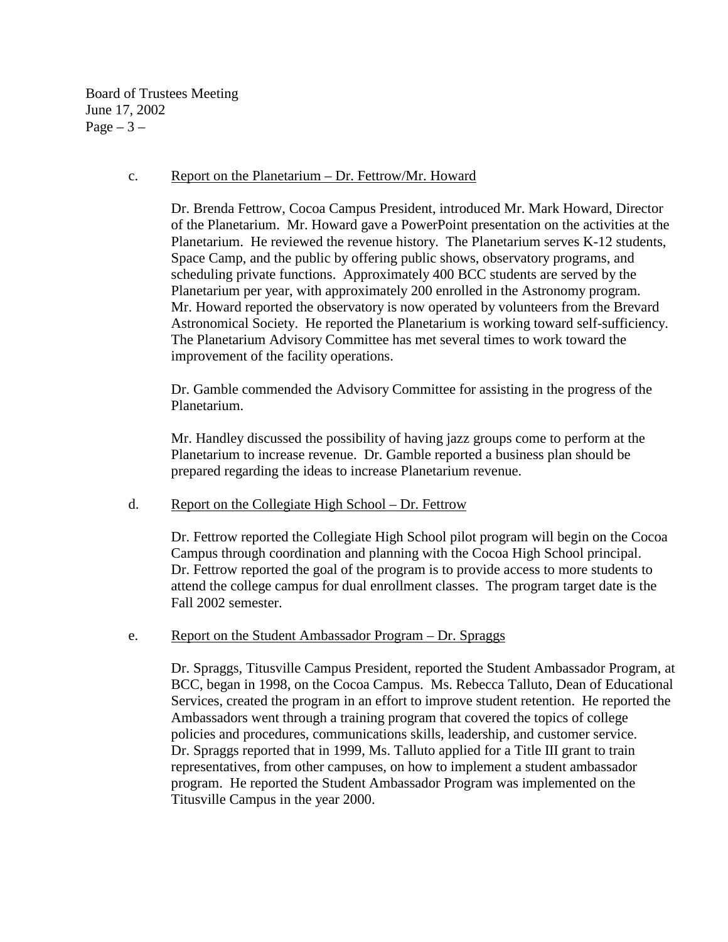Board of Trustees Meeting June 17, 2002  $Page - 3 -$ 

#### c. Report on the Planetarium – Dr. Fettrow/Mr. Howard

Dr. Brenda Fettrow, Cocoa Campus President, introduced Mr. Mark Howard, Director of the Planetarium. Mr. Howard gave a PowerPoint presentation on the activities at the Planetarium. He reviewed the revenue history. The Planetarium serves K-12 students, Space Camp, and the public by offering public shows, observatory programs, and scheduling private functions. Approximately 400 BCC students are served by the Planetarium per year, with approximately 200 enrolled in the Astronomy program. Mr. Howard reported the observatory is now operated by volunteers from the Brevard Astronomical Society. He reported the Planetarium is working toward self-sufficiency. The Planetarium Advisory Committee has met several times to work toward the improvement of the facility operations.

Dr. Gamble commended the Advisory Committee for assisting in the progress of the Planetarium.

Mr. Handley discussed the possibility of having jazz groups come to perform at the Planetarium to increase revenue. Dr. Gamble reported a business plan should be prepared regarding the ideas to increase Planetarium revenue.

## d. Report on the Collegiate High School – Dr. Fettrow

Dr. Fettrow reported the Collegiate High School pilot program will begin on the Cocoa Campus through coordination and planning with the Cocoa High School principal. Dr. Fettrow reported the goal of the program is to provide access to more students to attend the college campus for dual enrollment classes. The program target date is the Fall 2002 semester.

## e. Report on the Student Ambassador Program – Dr. Spraggs

Dr. Spraggs, Titusville Campus President, reported the Student Ambassador Program, at BCC, began in 1998, on the Cocoa Campus. Ms. Rebecca Talluto, Dean of Educational Services, created the program in an effort to improve student retention. He reported the Ambassadors went through a training program that covered the topics of college policies and procedures, communications skills, leadership, and customer service. Dr. Spraggs reported that in 1999, Ms. Talluto applied for a Title III grant to train representatives, from other campuses, on how to implement a student ambassador program. He reported the Student Ambassador Program was implemented on the Titusville Campus in the year 2000.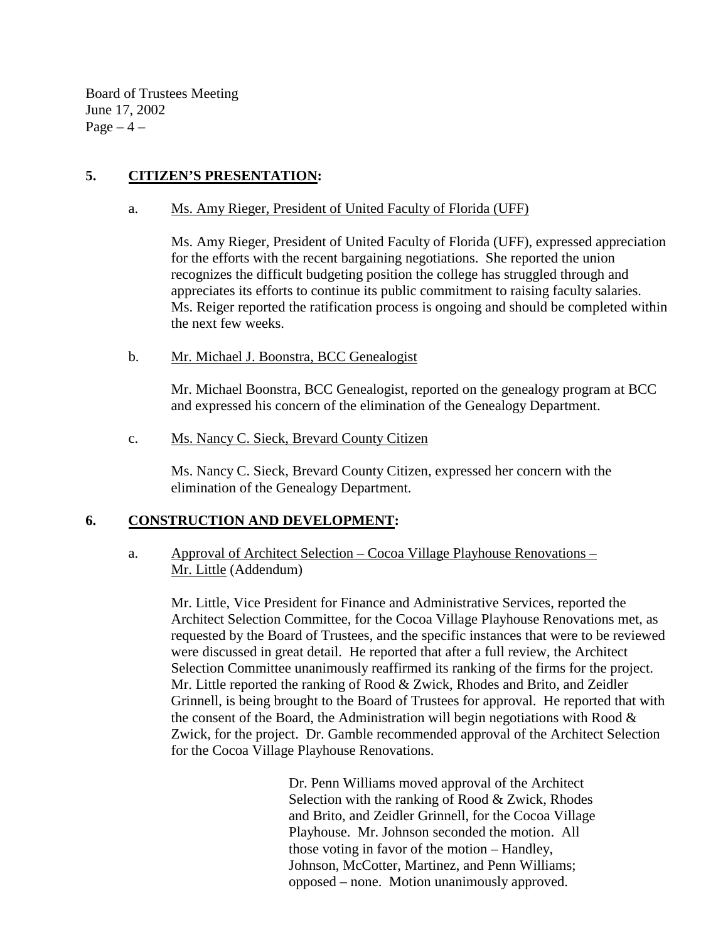Board of Trustees Meeting June 17, 2002  $Page-4$  –

# **5. CITIZEN'S PRESENTATION:**

#### a. Ms. Amy Rieger, President of United Faculty of Florida (UFF)

Ms. Amy Rieger, President of United Faculty of Florida (UFF), expressed appreciation for the efforts with the recent bargaining negotiations. She reported the union recognizes the difficult budgeting position the college has struggled through and appreciates its efforts to continue its public commitment to raising faculty salaries. Ms. Reiger reported the ratification process is ongoing and should be completed within the next few weeks.

#### b. Mr. Michael J. Boonstra, BCC Genealogist

Mr. Michael Boonstra, BCC Genealogist, reported on the genealogy program at BCC and expressed his concern of the elimination of the Genealogy Department.

c. Ms. Nancy C. Sieck, Brevard County Citizen

Ms. Nancy C. Sieck, Brevard County Citizen, expressed her concern with the elimination of the Genealogy Department.

## **6. CONSTRUCTION AND DEVELOPMENT:**

a. Approval of Architect Selection – Cocoa Village Playhouse Renovations – Mr. Little (Addendum)

Mr. Little, Vice President for Finance and Administrative Services, reported the Architect Selection Committee, for the Cocoa Village Playhouse Renovations met, as requested by the Board of Trustees, and the specific instances that were to be reviewed were discussed in great detail. He reported that after a full review, the Architect Selection Committee unanimously reaffirmed its ranking of the firms for the project. Mr. Little reported the ranking of Rood & Zwick, Rhodes and Brito, and Zeidler Grinnell, is being brought to the Board of Trustees for approval. He reported that with the consent of the Board, the Administration will begin negotiations with Rood  $\&$ Zwick, for the project. Dr. Gamble recommended approval of the Architect Selection for the Cocoa Village Playhouse Renovations.

> Dr. Penn Williams moved approval of the Architect Selection with the ranking of Rood & Zwick, Rhodes and Brito, and Zeidler Grinnell, for the Cocoa Village Playhouse. Mr. Johnson seconded the motion. All those voting in favor of the motion – Handley, Johnson, McCotter, Martinez, and Penn Williams; opposed – none. Motion unanimously approved.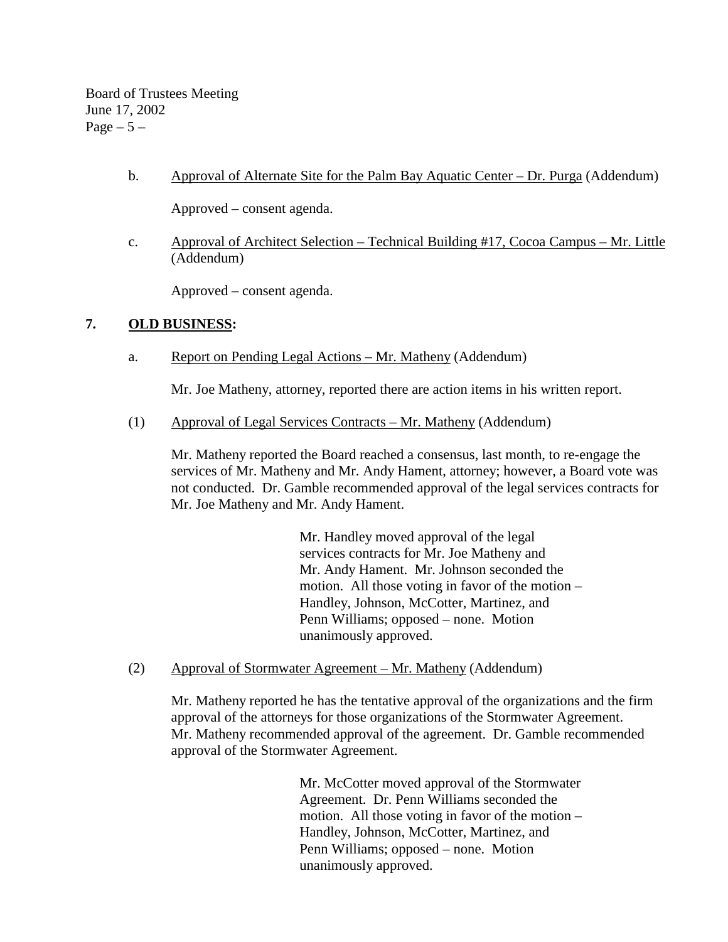Board of Trustees Meeting June 17, 2002 Page  $-5-$ 

b. Approval of Alternate Site for the Palm Bay Aquatic Center – Dr. Purga (Addendum)

Approved – consent agenda.

 c. Approval of Architect Selection – Technical Building #17, Cocoa Campus – Mr. Little (Addendum)

Approved – consent agenda.

# **7. OLD BUSINESS:**

a. Report on Pending Legal Actions – Mr. Matheny (Addendum)

Mr. Joe Matheny, attorney, reported there are action items in his written report.

(1) Approval of Legal Services Contracts – Mr. Matheny (Addendum)

Mr. Matheny reported the Board reached a consensus, last month, to re-engage the services of Mr. Matheny and Mr. Andy Hament, attorney; however, a Board vote was not conducted. Dr. Gamble recommended approval of the legal services contracts for Mr. Joe Matheny and Mr. Andy Hament.

> Mr. Handley moved approval of the legal services contracts for Mr. Joe Matheny and Mr. Andy Hament. Mr. Johnson seconded the motion. All those voting in favor of the motion – Handley, Johnson, McCotter, Martinez, and Penn Williams; opposed – none. Motion unanimously approved.

(2) Approval of Stormwater Agreement – Mr. Matheny (Addendum)

Mr. Matheny reported he has the tentative approval of the organizations and the firm approval of the attorneys for those organizations of the Stormwater Agreement. Mr. Matheny recommended approval of the agreement. Dr. Gamble recommended approval of the Stormwater Agreement.

> Mr. McCotter moved approval of the Stormwater Agreement. Dr. Penn Williams seconded the motion. All those voting in favor of the motion – Handley, Johnson, McCotter, Martinez, and Penn Williams; opposed – none. Motion unanimously approved.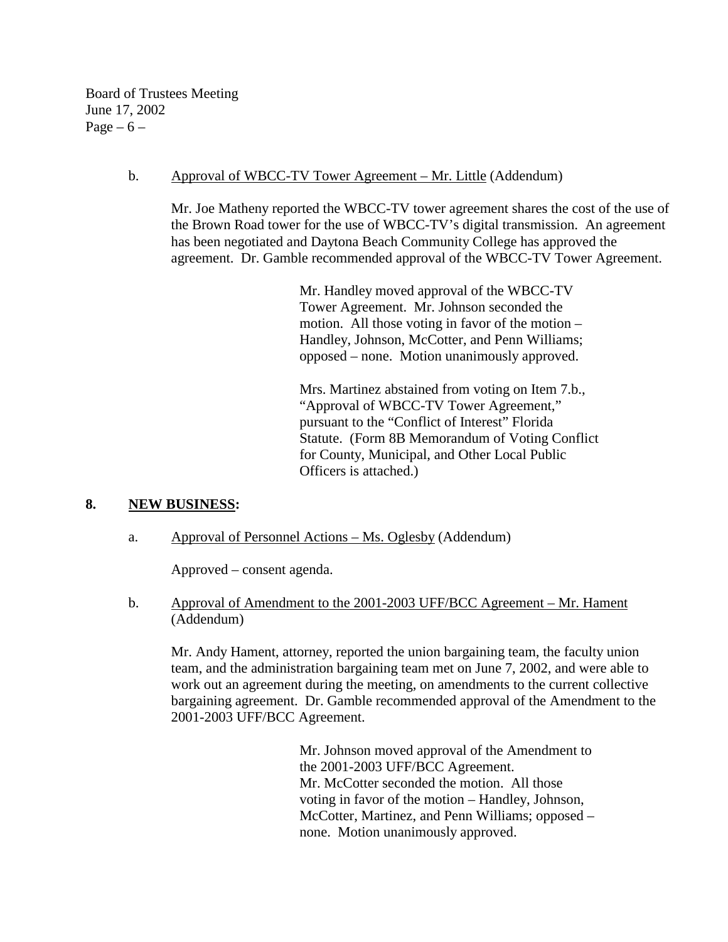Board of Trustees Meeting June 17, 2002 Page  $-6$  –

#### b. Approval of WBCC-TV Tower Agreement – Mr. Little (Addendum)

Mr. Joe Matheny reported the WBCC-TV tower agreement shares the cost of the use of the Brown Road tower for the use of WBCC-TV's digital transmission. An agreement has been negotiated and Daytona Beach Community College has approved the agreement. Dr. Gamble recommended approval of the WBCC-TV Tower Agreement.

> Mr. Handley moved approval of the WBCC-TV Tower Agreement. Mr. Johnson seconded the motion. All those voting in favor of the motion – Handley, Johnson, McCotter, and Penn Williams; opposed – none. Motion unanimously approved.

Mrs. Martinez abstained from voting on Item 7.b., "Approval of WBCC-TV Tower Agreement," pursuant to the "Conflict of Interest" Florida Statute. (Form 8B Memorandum of Voting Conflict for County, Municipal, and Other Local Public Officers is attached.)

## **8. NEW BUSINESS:**

## a. Approval of Personnel Actions – Ms. Oglesby (Addendum)

Approved – consent agenda.

b. Approval of Amendment to the 2001-2003 UFF/BCC Agreement – Mr. Hament (Addendum)

 Mr. Andy Hament, attorney, reported the union bargaining team, the faculty union team, and the administration bargaining team met on June 7, 2002, and were able to work out an agreement during the meeting, on amendments to the current collective bargaining agreement. Dr. Gamble recommended approval of the Amendment to the 2001-2003 UFF/BCC Agreement.

> Mr. Johnson moved approval of the Amendment to the 2001-2003 UFF/BCC Agreement. Mr. McCotter seconded the motion. All those voting in favor of the motion – Handley, Johnson, McCotter, Martinez, and Penn Williams; opposed – none. Motion unanimously approved.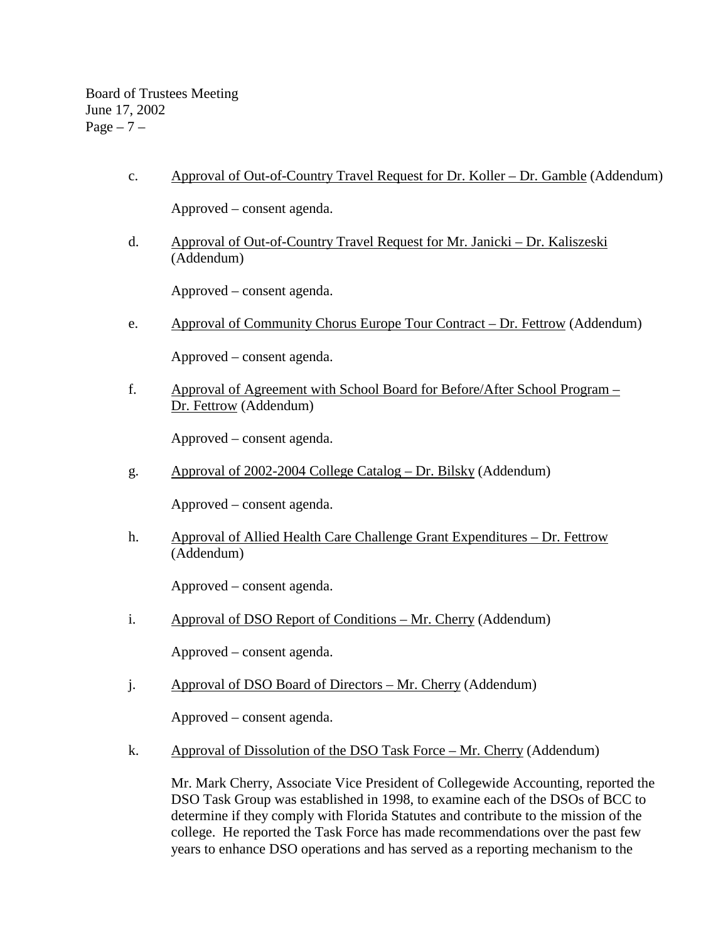Board of Trustees Meeting June 17, 2002 Page  $-7$  –

c. Approval of Out-of-Country Travel Request for Dr. Koller – Dr. Gamble (Addendum)

Approved – consent agenda.

d. Approval of Out-of-Country Travel Request for Mr. Janicki – Dr. Kaliszeski (Addendum)

Approved – consent agenda.

e. Approval of Community Chorus Europe Tour Contract – Dr. Fettrow (Addendum)

Approved – consent agenda.

 f. Approval of Agreement with School Board for Before/After School Program – Dr. Fettrow (Addendum)

Approved – consent agenda.

g. Approval of 2002-2004 College Catalog – Dr. Bilsky (Addendum)

Approved – consent agenda.

 h. Approval of Allied Health Care Challenge Grant Expenditures – Dr. Fettrow (Addendum)

Approved – consent agenda.

i. Approval of DSO Report of Conditions – Mr. Cherry (Addendum)

Approved – consent agenda.

j. Approval of DSO Board of Directors – Mr. Cherry (Addendum)

Approved – consent agenda.

k. Approval of Dissolution of the DSO Task Force – Mr. Cherry (Addendum)

Mr. Mark Cherry, Associate Vice President of Collegewide Accounting, reported the DSO Task Group was established in 1998, to examine each of the DSOs of BCC to determine if they comply with Florida Statutes and contribute to the mission of the college. He reported the Task Force has made recommendations over the past few years to enhance DSO operations and has served as a reporting mechanism to the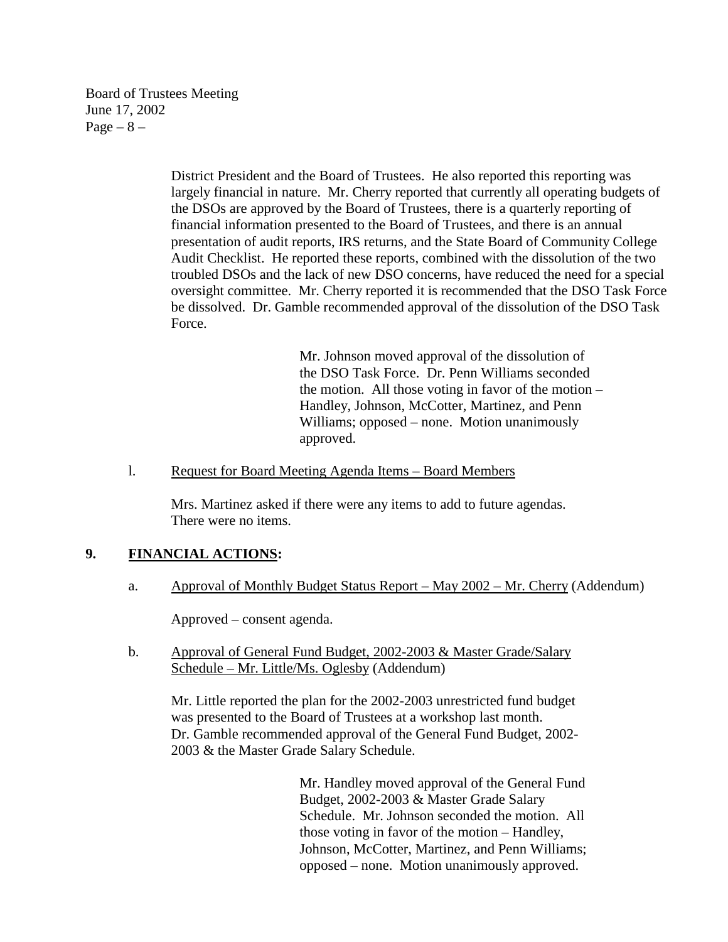Board of Trustees Meeting June 17, 2002  $Page - 8 -$ 

> District President and the Board of Trustees. He also reported this reporting was largely financial in nature. Mr. Cherry reported that currently all operating budgets of the DSOs are approved by the Board of Trustees, there is a quarterly reporting of financial information presented to the Board of Trustees, and there is an annual presentation of audit reports, IRS returns, and the State Board of Community College Audit Checklist. He reported these reports, combined with the dissolution of the two troubled DSOs and the lack of new DSO concerns, have reduced the need for a special oversight committee. Mr. Cherry reported it is recommended that the DSO Task Force be dissolved. Dr. Gamble recommended approval of the dissolution of the DSO Task Force.

> > Mr. Johnson moved approval of the dissolution of the DSO Task Force. Dr. Penn Williams seconded the motion. All those voting in favor of the motion – Handley, Johnson, McCotter, Martinez, and Penn Williams; opposed – none. Motion unanimously approved.

#### l. Request for Board Meeting Agenda Items – Board Members

Mrs. Martinez asked if there were any items to add to future agendas. There were no items.

## **9. FINANCIAL ACTIONS:**

a. Approval of Monthly Budget Status Report – May 2002 – Mr. Cherry (Addendum)

Approved – consent agenda.

 b. Approval of General Fund Budget, 2002-2003 & Master Grade/Salary Schedule – Mr. Little/Ms. Oglesby (Addendum)

Mr. Little reported the plan for the 2002-2003 unrestricted fund budget was presented to the Board of Trustees at a workshop last month. Dr. Gamble recommended approval of the General Fund Budget, 2002- 2003 & the Master Grade Salary Schedule.

> Mr. Handley moved approval of the General Fund Budget, 2002-2003 & Master Grade Salary Schedule. Mr. Johnson seconded the motion. All those voting in favor of the motion – Handley, Johnson, McCotter, Martinez, and Penn Williams; opposed – none. Motion unanimously approved.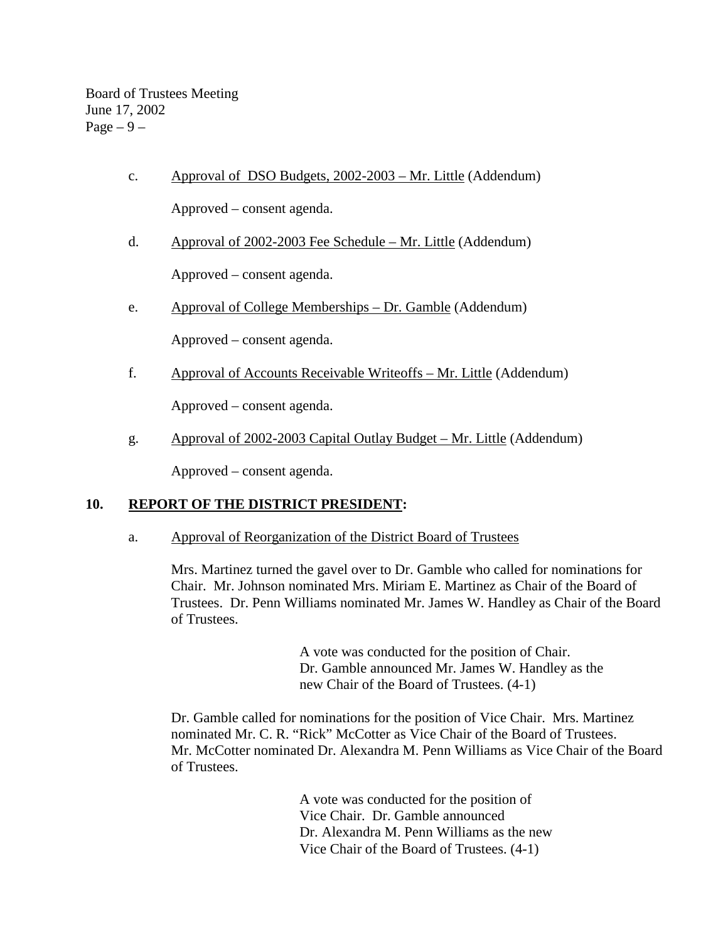c. Approval of DSO Budgets, 2002-2003 – Mr. Little (Addendum)

Approved – consent agenda.

d. Approval of 2002-2003 Fee Schedule – Mr. Little (Addendum)

Approved – consent agenda.

e. Approval of College Memberships – Dr. Gamble (Addendum)

Approved – consent agenda.

f. Approval of Accounts Receivable Writeoffs – Mr. Little (Addendum)

Approved – consent agenda.

g. Approval of 2002-2003 Capital Outlay Budget – Mr. Little (Addendum)

Approved – consent agenda.

# **10. REPORT OF THE DISTRICT PRESIDENT:**

# a. Approval of Reorganization of the District Board of Trustees

Mrs. Martinez turned the gavel over to Dr. Gamble who called for nominations for Chair. Mr. Johnson nominated Mrs. Miriam E. Martinez as Chair of the Board of Trustees. Dr. Penn Williams nominated Mr. James W. Handley as Chair of the Board of Trustees.

> A vote was conducted for the position of Chair. Dr. Gamble announced Mr. James W. Handley as the new Chair of the Board of Trustees. (4-1)

 Dr. Gamble called for nominations for the position of Vice Chair. Mrs. Martinez nominated Mr. C. R. "Rick" McCotter as Vice Chair of the Board of Trustees. Mr. McCotter nominated Dr. Alexandra M. Penn Williams as Vice Chair of the Board of Trustees.

> A vote was conducted for the position of Vice Chair. Dr. Gamble announced Dr. Alexandra M. Penn Williams as the new Vice Chair of the Board of Trustees. (4-1)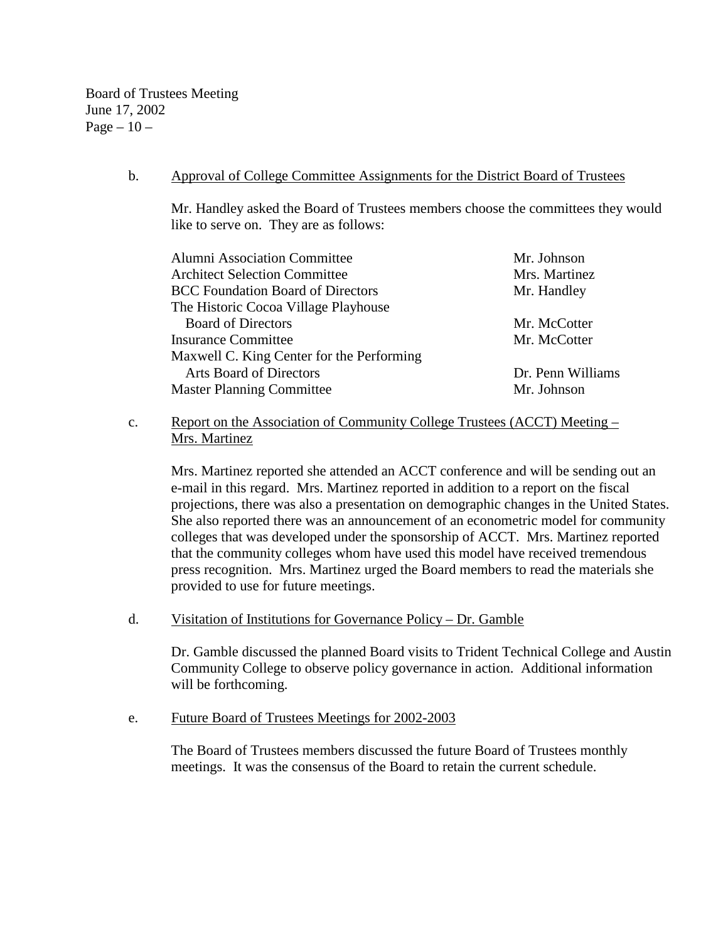Board of Trustees Meeting June 17, 2002 Page  $-10-$ 

#### b. Approval of College Committee Assignments for the District Board of Trustees

Mr. Handley asked the Board of Trustees members choose the committees they would like to serve on. They are as follows:

| <b>Alumni Association Committee</b>       | Mr. Johnson       |
|-------------------------------------------|-------------------|
| <b>Architect Selection Committee</b>      | Mrs. Martinez     |
| <b>BCC</b> Foundation Board of Directors  | Mr. Handley       |
| The Historic Cocoa Village Playhouse      |                   |
| <b>Board of Directors</b>                 | Mr. McCotter      |
| <b>Insurance Committee</b>                | Mr. McCotter      |
| Maxwell C. King Center for the Performing |                   |
| <b>Arts Board of Directors</b>            | Dr. Penn Williams |
| <b>Master Planning Committee</b>          | Mr. Johnson       |
|                                           |                   |

# c. Report on the Association of Community College Trustees (ACCT) Meeting – Mrs. Martinez

Mrs. Martinez reported she attended an ACCT conference and will be sending out an e-mail in this regard. Mrs. Martinez reported in addition to a report on the fiscal projections, there was also a presentation on demographic changes in the United States. She also reported there was an announcement of an econometric model for community colleges that was developed under the sponsorship of ACCT. Mrs. Martinez reported that the community colleges whom have used this model have received tremendous press recognition. Mrs. Martinez urged the Board members to read the materials she provided to use for future meetings.

## d. Visitation of Institutions for Governance Policy – Dr. Gamble

Dr. Gamble discussed the planned Board visits to Trident Technical College and Austin Community College to observe policy governance in action. Additional information will be forthcoming.

#### e. Future Board of Trustees Meetings for 2002-2003

The Board of Trustees members discussed the future Board of Trustees monthly meetings. It was the consensus of the Board to retain the current schedule.